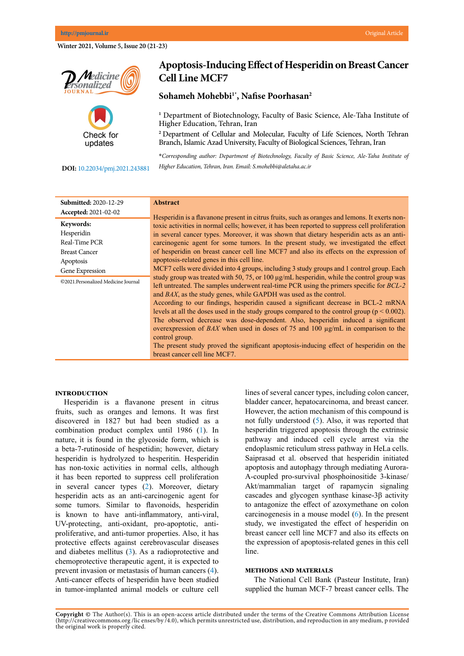**Winter 2021, Volume 5, Issue 20 (21-23)**





# **Apoptosis-Inducing Effect of Hesperidin on Breast Cancer Cell Line MCF7**

## **Sohameh Mohebbi1\*, Nafise Poorhasan2**

<sup>1</sup> Department of Biotechnology, Faculty of Basic Science, Ale-Taha Institute of Higher Education, Tehran, Iran

**<sup>2</sup>**Department of Cellular and Molecular, Faculty of Life Sciences, North Tehran Branch, Islamic Azad University, Faculty of Biological Sciences, Tehran, Iran

**\****Corresponding author: Department of Biotechnology, Faculty of Basic Science, Ale-Taha Institute of* 

**DOI[:](http://www.pmjournal.ir/article_43457.html)** 10.22034/pmj.2021.243881

*Higher Education, Tehran, Iran. Email: S.mohebbi@aletaha.ac.ir*

| <b>Submitted: 2020-12-29</b>        | <b>Abstract</b>                                                                                                                                                                                                                                                                                                                                                                                                                                                                                                                                                                                                                                                                                                                                                                       |
|-------------------------------------|---------------------------------------------------------------------------------------------------------------------------------------------------------------------------------------------------------------------------------------------------------------------------------------------------------------------------------------------------------------------------------------------------------------------------------------------------------------------------------------------------------------------------------------------------------------------------------------------------------------------------------------------------------------------------------------------------------------------------------------------------------------------------------------|
| Accepted: 2021-02-02                | Hesperidin is a flavanone present in citrus fruits, such as oranges and lemons. It exerts non-                                                                                                                                                                                                                                                                                                                                                                                                                                                                                                                                                                                                                                                                                        |
| Keywords:                           | toxic activities in normal cells; however, it has been reported to suppress cell proliferation                                                                                                                                                                                                                                                                                                                                                                                                                                                                                                                                                                                                                                                                                        |
| Hesperidin                          | in several cancer types. Moreover, it was shown that dietary hesperidin acts as an anti-                                                                                                                                                                                                                                                                                                                                                                                                                                                                                                                                                                                                                                                                                              |
| Real-Time PCR                       | carcinogenic agent for some tumors. In the present study, we investigated the effect                                                                                                                                                                                                                                                                                                                                                                                                                                                                                                                                                                                                                                                                                                  |
| <b>Breast Cancer</b>                | of hesperidin on breast cancer cell line MCF7 and also its effects on the expression of                                                                                                                                                                                                                                                                                                                                                                                                                                                                                                                                                                                                                                                                                               |
| Apoptosis                           | apoptosis-related genes in this cell line.                                                                                                                                                                                                                                                                                                                                                                                                                                                                                                                                                                                                                                                                                                                                            |
| Gene Expression                     | MCF7 cells were divided into 4 groups, including 3 study groups and 1 control group. Each                                                                                                                                                                                                                                                                                                                                                                                                                                                                                                                                                                                                                                                                                             |
| ©2021.Personalized Medicine Journal | study group was treated with 50, 75, or 100 µg/mL hesperidin, while the control group was<br>left untreated. The samples underwent real-time PCR using the primers specific for <i>BCL-2</i><br>and BAX, as the study genes, while GAPDH was used as the control.<br>According to our findings, hesperidin caused a significant decrease in BCL-2 mRNA<br>levels at all the doses used in the study groups compared to the control group ( $p < 0.002$ ).<br>The observed decrease was dose-dependent. Also, hesperidin induced a significant<br>overexpression of BAX when used in doses of 75 and 100 $\mu$ g/mL in comparison to the<br>control group.<br>The present study proved the significant apoptosis-inducing effect of hesperidin on the<br>breast cancer cell line MCF7. |

#### **Introduction**

Hesperidin is a flavanone present in citrus fruits, such as oranges and lemons. It was first discovered in 1827 but had been studied as a combination product complex until 1986 ([1\)](#page-2-0). In nature, it is found in the glycoside form, which is a beta-7-rutinoside of hespetidin; however, dietary hesperidin is hydrolyzed to hesperitin. Hesperidin has non-toxic activities in normal cells, although it has been reported to suppress cell proliferation in several cancer types [\(2](#page-2-0)). Moreover, dietary hesperidin acts as an anti-carcinogenic agent for some tumors. Similar to flavonoids, hesperidin is known to have anti-inflammatory, anti-viral, UV-protecting, anti-oxidant, pro-apoptotic, antiproliferative, and anti-tumor properties. Also, it has protective effects against cerebrovascular diseases and diabetes mellitus ([3\)](#page-2-0). As a radioprotective and chemoprotective therapeutic agent, it is expected to prevent invasion or metastasis of human cancers ([4\)](#page-2-0). Anti-cancer effects of hesperidin have been studied in tumor-implanted animal models or culture cell lines of several cancer types, including colon cancer, bladder cancer, hepatocarcinoma, and breast cancer. However, the action mechanism of this compound is not fully understood [\(5](#page-2-0)). Also, it was reported that hesperidin triggered apoptosis through the extrinsic pathway and induced cell cycle arrest via the endoplasmic reticulum stress pathway in HeLa cells. Saiprasad et al. observed that hesperidin initiated apoptosis and autophagy through mediating Aurora-A-coupled pro-survival phosphoinositide 3-kinase/ Akt/mammalian target of rapamycin signaling cascades and glycogen synthase kinase-3β activity to antagonize the effect of azoxymethane on colon carcinogenesis in a mouse model [\(6](#page-2-0)). In the present study, we investigated the effect of hesperidin on breast cancer cell line MCF7 and also its effects on the expression of apoptosis-related genes in this cell line.

#### **Methods and materials**

The National Cell Bank (Pasteur Institute, Iran) supplied the human MCF-7 breast cancer cells. The

**Copyright ©** The Author(s). This is an open-access article distributed under the terms of the Creative Commons Attribution License (http://creativecommons.org /lic enses/by /4.0), which permits unrestricted use, distribution, and reproduction in any medium, p rovided the original work is properly cited.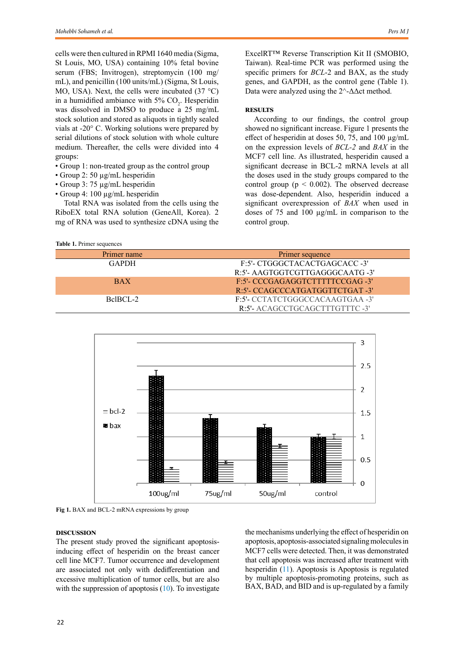cells were then cultured in RPMI 1640 media (Sigma, St Louis, MO, USA) containing 10% fetal bovine serum (FBS; Invitrogen), streptomycin (100 mg/ mL), and penicillin (100 units/mL) (Sigma, St Louis, MO, USA). Next, the cells were incubated  $(37 \text{ °C})$ in a humidified ambiance with 5%  $CO<sub>2</sub>$ . Hesperidin was dissolved in DMSO to produce a 25 mg/mL stock solution and stored as aliquots in tightly sealed vials at -20° C. Working solutions were prepared by serial dilutions of stock solution with whole culture medium. Thereafter, the cells were divided into 4 groups:

- Group 1: non-treated group as the control group
- Group 2: 50 µg/mL hesperidin
- Group 3: 75 µg/mL hesperidin
- Group 4: 100 µg/mL hesperidin

Total RNA was isolated from the cells using the RiboEX total RNA solution (GeneAll, Korea). 2 mg of RNA was used to synthesize cDNA using the

```
Table 1. Primer sequences
```
ExcelRT™ Reverse Transcription Kit II (SMOBIO, Taiwan). Real-time PCR was performed using the specific primers for *BCL*-2 and BAX, as the study genes, and GAPDH, as the control gene (Table 1). Data were analyzed using the  $2^{\wedge}$ - $\Delta \Delta$ ct method.

## **RESULTS**

According to our findings, the control group showed no significant increase. Figure 1 presents the effect of hesperidin at doses 50, 75, and 100 µg/mL on the expression levels of *BCL-2* and *BAX* in the MCF7 cell line. As illustrated, hesperidin caused a significant decrease in BCL-2 mRNA levels at all the doses used in the study groups compared to the control group ( $p \le 0.002$ ). The observed decrease was dose-dependent. Also, hesperidin induced a significant overexpression of *BAX* when used in doses of 75 and 100 µg/mL in comparison to the control group.

| Primer name  | Primer sequence                 |
|--------------|---------------------------------|
| <b>GAPDH</b> | F:5'- CTGGGCTACACTGAGCACC -3'   |
|              | R:5'- AAGTGGTCGTTGAGGGCAATG -3' |
| <b>BAX</b>   | F:5'- CCCGAGAGGTCTTTTTCCGAG -3' |
|              | R:5'- CCAGCCCATGATGGTTCTGAT -3' |
| BelBCL-2     | F:5'- CCTATCTGGGCCACAAGTGAA -3' |
|              | R:5'- ACAGCCTGCAGCTTTGTTTC-3'   |



**Fig 1.** BAX and BCL-2 mRNA expressions by group

### **Discussion**

The present study proved the significant apoptosisinducing effect of hesperidin on the breast cancer cell line MCF7. Tumor occurrence and development are associated not only with dedifferentiation and excessive multiplication of tumor cells, but are also with the suppression of apoptosis  $(10)$  $(10)$ . To investigate

the mechanisms underlying the effect of hesperidin on apoptosis, apoptosis-associated signaling molecules in MCF7 cells were detected. Then, it was demonstrated that cell apoptosis was increased after treatment with hesperidin [\(11\)](#page-2-0). Apoptosis is Apoptosis is regulated by multiple apoptosis-promoting proteins, such as BAX, BAD, and BID and is up-regulated by a family